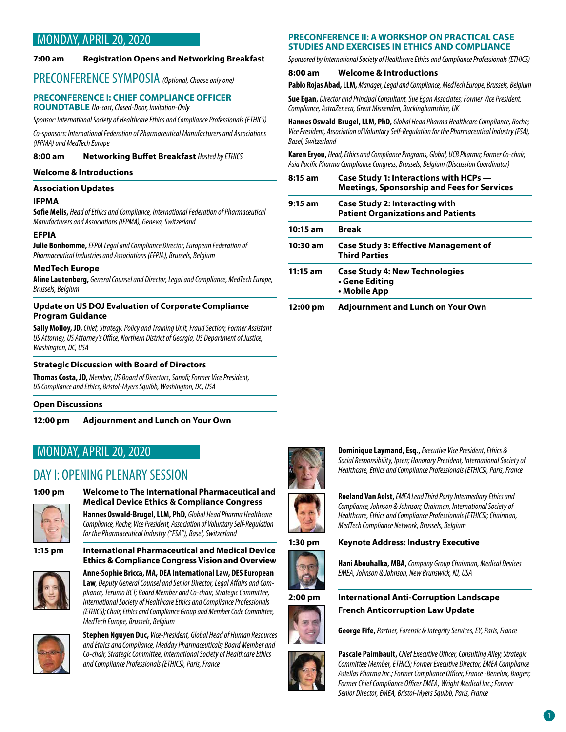# MONDAY, APRIL 20, 2020

### **7:00 am Registration Opens and Networking Breakfast**

### PRECONFERENCE SYMPOSIA *(Optional, Choose only one)*

### **PRECONFERENCE I: CHIEF COMPLIANCE OFFICER ROUNDTABLE** *No-cost, Closed-Door, Invitation-Only*

*Sponsor: International Society of Healthcare Ethics and Compliance Professionals (ETHICS)*

*Co-sponsors: International Federation of Pharmaceutical Manufacturers and Associations (IFPMA) and MedTech Europe*

**8:00 am Networking Buffet Breakfast** *Hosted by ETHICS*

### **Welcome & Introductions**

### **Association Updates**

### **IFPMA**

**Sofie Melis,** *Head of Ethics and Compliance, International Federation of Pharmaceutical Manufacturers and Associations (IFPMA), Geneva, Switzerland*

### **EFPIA**

**Julie Bonhomme,** *EFPIA Legal and Compliance Director, European Federation of Pharmaceutical Industries and Associations (EFPIA), Brussels, Belgium*

### **MedTech Europe**

**Aline Lautenberg,** *General Counsel and Director, Legal and Compliance, MedTech Europe, Brussels, Belgium*

### **Update on US DOJ Evaluation of Corporate Compliance Program Guidance**

**Sally Molloy, JD,** *Chief, Strategy, Policy and Training Unit, Fraud Section; Former Assistant US Attorney, US Attorney's Office, Northern District of Georgia, US Department of Justice, Washington, DC, USA*

### **Strategic Discussion with Board of Directors**

**Thomas Costa, JD,** *Member, US Board of Directors, Sanofi; Former Vice President, US Compliance and Ethics, Bristol-Myers Squibb, Washington, DC, USA*

### **Open Discussions**

### **12:00 pm Adjournment and Lunch on Your Own**

## MONDAY, APRIL 20, 2020

# DAY I: OPENING PLENARY SESSION



### **1:00 pm Welcome to The International Pharmaceutical and Medical Device Ethics & Compliance Congress**

**Hannes Oswald-Brugel, LLM, PhD,** *Global Head Pharma Healthcare Compliance, Roche; Vice President, Association of Voluntary Self-Regulation for the Pharmaceutical Industry ("FSA"), Basel, Switzerland*

**1:15 pm International Pharmaceutical and Medical Device** 



**Anne-Sophie Bricca, MA, DEA International Law, DES European Law***, Deputy General Counsel and Senior Director, Legal Affairs and Compliance, Terumo BCT; Board Member and Co-chair, Strategic Committee, International Society of Healthcare Ethics and Compliance Professionals (ETHICS); Chair, Ethics and Compliance Group and Member Code Committee, MedTech Europe, Brussels, Belgium*

**Ethics & Compliance Congress Vision and Overview**



**Stephen Nguyen Duc,** *Vice-President, Global Head of Human Resources and Ethics and Compliance, Medday Pharmaceuticals; Board Member and Co-chair, Strategic Committee, International Society of Healthcare Ethics and Compliance Professionals (ETHICS), Paris, France*

### **PRECONFERENCE II: A WORKSHOP ON PRACTICAL CASE STUDIES AND EXERCISES IN ETHICS AND COMPLIANCE**

*Sponsored by International Society of Healthcare Ethics and Compliance Professionals (ETHICS)*

### **8:00 am Welcome & Introductions**

**Pablo Rojas Abad, LLM,** *Manager, Legal and Compliance, MedTech Europe, Brussels, Belgium*

**Sue Egan,** *Director and Principal Consultant, Sue Egan Associates; Former Vice President, Compliance, AstraZeneca, Great Missenden, Buckinghamshire, UK*

**Hannes Oswald-Brugel, LLM, PhD,** *Global Head Pharma Healthcare Compliance, Roche; Vice President, Association of Voluntary Self-Regulation for the Pharmaceutical Industry (FSA), Basel, Switzerland*

**Karen Eryou,** *Head, Ethics and Compliance Programs, Global, UCB Pharma; Former Co-chair, Asia Pacific Pharma Compliance Congress, Brussels, Belgium (Discussion Coordinator)*

| $8:15$ am  | Case Study 1: Interactions with HCPs -<br><b>Meetings, Sponsorship and Fees for Services</b> |
|------------|----------------------------------------------------------------------------------------------|
| $9:15$ am  | <b>Case Study 2: Interacting with</b><br><b>Patient Organizations and Patients</b>           |
| $10:15$ am | Break                                                                                        |
| 10:30 am   | <b>Case Study 3: Effective Management of</b><br><b>Third Parties</b>                         |
| $11:15$ am | <b>Case Study 4: New Technologies</b><br>• Gene Editing<br>• Mobile App                      |
| 12:00 pm   | Adjournment and Lunch on Your Own                                                            |



**Dominique Laymand, Esq.,** *Executive Vice President, Ethics & Social Responsibility, Ipsen; Honorary President, International Society of Healthcare, Ethics and Compliance Professionals (ETHICS), Paris, France*



### **Roeland Van Aelst,** *EMEA Lead Third Party Intermediary Ethics and Compliance, Johnson & Johnson; Chairman, International Society of Healthcare, Ethics and Compliance Professionals (ETHICS); Chairman, MedTech Compliance Network, Brussels, Belgium*

## **1:30 pm Keynote Address: Industry Executive**



**Hani Abouhalka, MBA,** *Company Group Chairman, Medical Devices EMEA, Johnson & Johnson, New Brunswick, NJ, USA*



**2:00 pm International Anti-Corruption Landscape French Anticorruption Law Update**



**Pascale Paimbault,** *Chief Executive Officer, Consulting Alley; Strategic Committee Member, ETHICS; Former Executive Director, EMEA Compliance Astellas Pharma Inc.; Former Compliance Officer, France -Benelux, Biogen; Former Chief Compliance Officer EMEA, Wright Medical Inc.; Former Senior Director, EMEA, Bristol-Myers Squibb, Paris, France*

**George Fife,** *Partner, Forensic & Integrity Services, EY, Paris, France*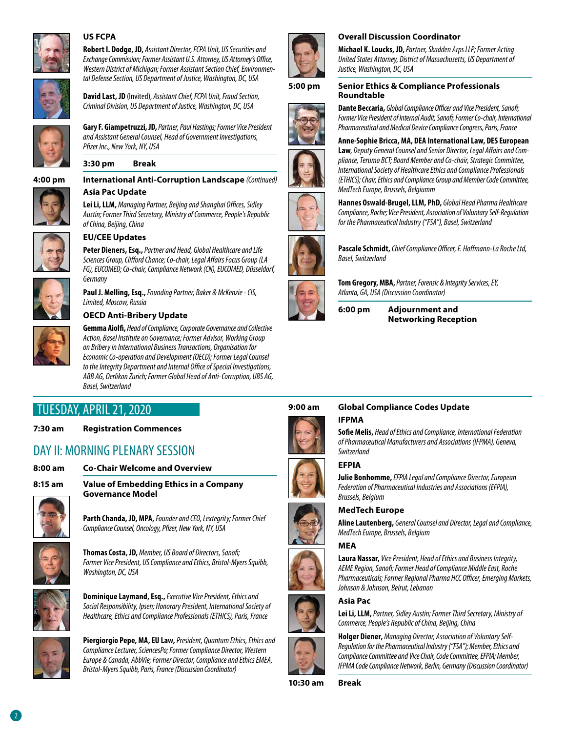

### **US FCPA**

**Robert I. Dodge, JD,** *Assistant Director, FCPA Unit, US Securities and Exchange Commission; Former Assistant U.S. Attorney, US Attorney's Office, Western District of Michigan; Former Assistant Section Chief, Environmental Defense Section, US Department of Justice, Washington, DC, USA*



**David Last, JD** (Invited), *Assistant Chief, FCPA Unit, Fraud Section, Criminal Division, US Department of Justice, Washington, DC, USA*



**Gary F. Giampetruzzi, JD,** *Partner, Paul Hastings; Former Vice President and Assistant General Counsel, Head of Government Investigations, Pfizer Inc., New York, NY, USA*

**3:30 pm Break**

**4:00 pm International Anti-Corruption Landscape** *(Continued)* **Asia Pac Update**

> **Lei Li, LLM,** *Managing Partner, Beijing and Shanghai Offices, Sidley Austin; Former Third Secretary, Ministry of Commerce, People's Republic of China, Beijing, China*



### **EU/CEE Updates**

**Peter Dieners, Esq.,** *Partner and Head, Global Healthcare and Life Sciences Group, Clifford Chance; Co-chair, Legal Affairs Focus Group (LA FG), EUCOMED; Co-chair, Compliance Network (CN), EUCOMED, Düsseldorf, Germany*

**Paul J. Melling, Esq.,** *Founding Partner, Baker & McKenzie - CIS, Limited, Moscow, Russia*

### **OECD Anti-Bribery Update**



**Gemma Aiolfi,** *Head of Compliance, Corporate Governance and Collective Action, Basel Institute on Governance; Former Advisor, Working Group on Bribery in International Business Transactions, Organisation for Economic Co-operation and Development (OECD); Former Legal Counsel to the Integrity Department and Internal Office of Special Investigations, ABB AG, Oerlikon Zurich; Former Global Head of Anti-Corruption, UBS AG, Basel, Switzerland*

# TUESDAY, APRIL 21, 2020

### **7:30 am Registration Commences**

# DAY II: MORNING PI FNARY SESSION

**8:00 am Co-Chair Welcome and Overview**

**8:15 am Value of Embedding Ethics in a Company Governance Model**



**Parth Chanda, JD, MPA,** *Founder and CEO, Lextegrity; Former Chief Compliance Counsel, Oncology, Pfizer, New York, NY, USA* 



**Thomas Costa, JD,** *Member, US Board of Directors, Sanofi; Former Vice President, US Compliance and Ethics, Bristol-Myers Squibb, Washington, DC, USA*



**Dominique Laymand, Esq.,** *Executive Vice President, Ethics and Social Responsibility, Ipsen; Honorary President, International Society of Healthcare, Ethics and Compliance Professionals (ETHICS), Paris, France*



**Piergiorgio Pepe, MA, EU Law,** *President, Quantum Ethics, Ethics and Compliance Lecturer, SciencesPo; Former Compliance Director, Western Europe & Canada, AbbVie; Former Director, Compliance and Ethics EMEA, Bristol-Myers Squibb, Paris, France (Discussion Coordinator)*



### **Overall Discussion Coordinator**

**Roundtable**

**Michael K. Loucks, JD,** *Partner, Skadden Arps LLP; Former Acting United States Attorney, District of Massachusetts, US Department of Justice, Washington, DC, USA* 





### **Dante Beccaria,** *Global Compliance Officer and Vice President, Sanofi; Former Vice President of Internal Audit, Sanofi; Former Co-chair, International Pharmaceutical and Medical Device Compliance Congress, Paris, France* **Anne-Sophie Bricca, MA, DEA International Law, DES European**

**Law***, Deputy General Counsel and Senior Director, Legal Affairs and Compliance, Terumo BCT; Board Member and Co-chair, Strategic Committee, International Society of Healthcare Ethics and Compliance Professionals (ETHICS); Chair, Ethics and Compliance Group and Member Code Committee,* 







**Pascale Schmidt,** *Chief Compliance Officer, F. Hoffmann-La Roche Ltd, Basel, Switzerland*



**Tom Gregory, MBA,** *Partner, Forensic & Integrity Services, EY, Atlanta, GA, USA (Discussion Coordinator)*

**6:00 pm Adjournment and Networking Reception**



### **9:00 am Global Compliance Codes Update IFPMA**

**Sofie Melis,** *Head of Ethics and Compliance, International Federation of Pharmaceutical Manufacturers and Associations (IFPMA), Geneva, Switzerland*

### **EFPIA**

**Julie Bonhomme,** *EFPIA Legal and Compliance Director, European Federation of Pharmaceutical Industries and Associations (EFPIA), Brussels, Belgium*

### **MedTech Europe**



### **MEA**



**Laura Nassar,** *Vice President, Head of Ethics and Business Integrity, AEME Region, Sanofi; Former Head of Compliance Middle East, Roche Pharmaceuticals; Former Regional Pharma HCC Officer, Emerging Markets, Johnson & Johnson, Beirut, Lebanon*

### **Asia Pac**

**Lei Li, LLM,** *Partner, Sidley Austin; Former Third Secretary, Ministry of Commerce, People's Republic of China, Beijing, China*



**Holger Diener,** *Managing Director, Association of Voluntary Self-Regulation for the Pharmaceutical Industry ("FSA"); Member, Ethics and Compliance Committee and Vice Chair, Code Committee, EFPIA; Member, IFPMA Code Compliance Network, Berlin, Germany (Discussion Coordinator)*

**10:30 am Break**





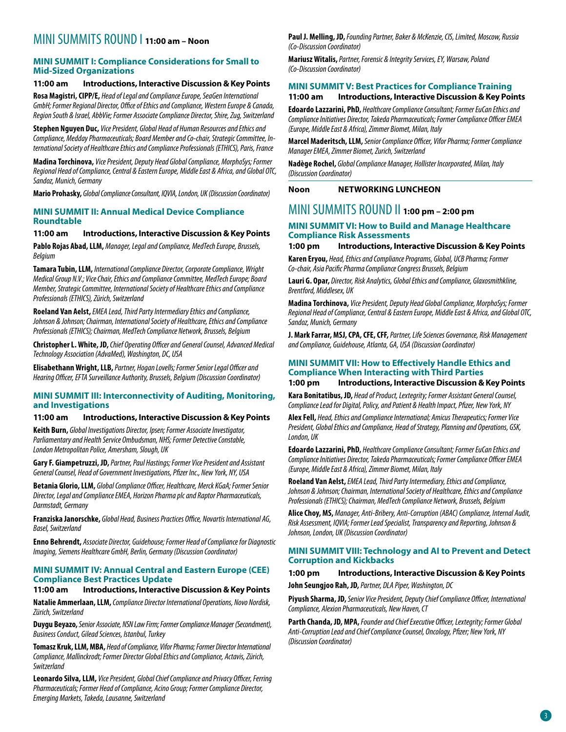# MINI SUMMITS ROUND I **11:00 am – Noon**

### **MINI SUMMIT I: Compliance Considerations for Small to Mid-Sized Organizations**

### **11:00 am Introductions, Interactive Discussion & Key Points**

**Rosa Magistri, CIPP/E,** *Head of Legal and Compliance Europe, SeaGen International GmbH; Former Regional Director, Office of Ethics and Compliance, Western Europe & Canada, Region South & Israel, AbbVie; Former Associate Compliance Director, Shire, Zug, Switzerland*

**Stephen Nguyen Duc,** *Vice President, Global Head of Human Resources and Ethics and Compliance, Medday Pharmaceuticals; Board Member and Co-chair, Strategic Committee, International Society of Healthcare Ethics and Compliance Professionals (ETHICS), Paris, France*

**Madina Torchinova,** *Vice President, Deputy Head Global Compliance, MorphoSys; Former Regional Head of Compliance, Central & Eastern Europe, Middle East & Africa, and Global OTC, Sandoz, Munich, Germany* 

**Mario Prohasky,** *Global Compliance Consultant, IQVIA, London, UK (Discussion Coordinator)*

### **MINI SUMMIT II: Annual Medical Device Compliance Roundtable**

#### **11:00 am Introductions, Interactive Discussion & Key Points**

**Pablo Rojas Abad, LLM,** *Manager, Legal and Compliance, MedTech Europe, Brussels, Belgium*

**Tamara Tubin, LLM,** *International Compliance Director, Corporate Compliance, Wright Medical Group N.V.; Vice Chair, Ethics and Compliance Committee, MedTech Europe; Board Member, Strategic Committee, International Society of Healthcare Ethics and Compliance Professionals (ETHICS), Zürich, Switzerland*

**Roeland Van Aelst,** *EMEA Lead, Third Party Intermediary Ethics and Compliance, Johnson & Johnson; Chairman, International Society of Healthcare, Ethics and Compliance Professionals (ETHICS); Chairman, MedTech Compliance Network, Brussels, Belgium*

**Christopher L. White, JD,** *Chief Operating Officer and General Counsel, Advanced Medical Technology Association (AdvaMed), Washington, DC, USA*

**Elisabethann Wright, LLB,** *Partner, Hogan Lovells; Former Senior Legal Officer and Hearing Officer, EFTA Surveillance Authority, Brussels, Belgium (Discussion Coordinator)*

### **MINI SUMMIT III: Interconnectivity of Auditing, Monitoring, and Investigations**

### **11:00 am Introductions, Interactive Discussion & Key Points**

**Keith Burn,** *Global Investigations Director, Ipsen; Former Associate Investigator, Parliamentary and Health Service Ombudsman, NHS; Former Detective Constable, London Metropolitan Police, Amersham, Slough, UK*

**Gary F. Giampetruzzi, JD,** *Partner, Paul Hastings; Former Vice President and Assistant General Counsel, Head of Government Investigations, Pfizer Inc., New York, NY, USA*

**Betania Glorio, LLM,** *Global Compliance Officer, Healthcare, Merck KGaA; Former Senior Director, Legal and Compliance EMEA, Horizon Pharma plc and Raptor Pharmaceuticals, Darmstadt, Germany*

**Franziska Janorschke,** *Global Head, Business Practices Office, Novartis International AG, Basel, Switzerland*

**Enno Behrendt,** *Associate Director, Guidehouse; Former Head of Compliance for Diagnostic Imaging, Siemens Healthcare GmbH, Berlin, Germany (Discussion Coordinator)*

### **MINI SUMMIT IV: Annual Central and Eastern Europe (CEE) Compliance Best Practices Update**

### **11:00 am Introductions, Interactive Discussion & Key Points**

**Natalie Ammerlaan, LLM,** *Compliance Director International Operations, Novo Nordisk, Zürich, Switzerland*

**Duygu Beyazo,** *Senior Associate, NSN Law Firm; Former Compliance Manager (Secondment), Business Conduct, Gilead Sciences, Istanbul, Turkey* 

**Tomasz Kruk, LLM, MBA,** *Head of Compliance, Vifor Pharma; Former Director International Compliance, Mallinckrodt; Former Director Global Ethics and Compliance, Actavis, Zürich, Switzerland*

**Leonardo Silva, LLM,** *Vice President, Global Chief Compliance and Privacy Officer, Ferring Pharmaceuticals; Former Head of Compliance, Acino Group; Former Compliance Director, Emerging Markets, Takeda, Lausanne, Switzerland*

**Paul J. Melling, JD,** *Founding Partner, Baker & McKenzie, CIS, Limited, Moscow, Russia (Co-Discussion Coordinator)*

**Mariusz Witalis,** *Partner, Forensic & Integrity Services, EY, Warsaw, Poland (Co-Discussion Coordinator)*

### **MINI SUMMIT V: Best Practices for Compliance Training**

### **11:00 am Introductions, Interactive Discussion & Key Points**

**Edoardo Lazzarini, PhD,** *Healthcare Compliance Consultant; Former EuCan Ethics and Compliance Initiatives Director, Takeda Pharmaceuticals; Former Compliance Officer EMEA (Europe, Middle East & Africa), Zimmer Biomet, Milan, Italy*

**Marcel Maderitsch, LLM,** *Senior Compliance Officer, Vifor Pharma; Former Compliance Manager EMEA, Zimmer Biomet, Zurich, Switzerland*

**Nadège Rochel,** *Global Compliance Manager, Hollister Incorporated, Milan, Italy (Discussion Coordinator)*

### **Noon NETWORKING LUNCHEON**

### MINI SUMMITS ROUND II **1:00 pm – 2:00 pm**

### **MINI SUMMIT VI: How to Build and Manage Healthcare Compliance Risk Assessments**

### **1:00 pm Introductions, Interactive Discussion & Key Points**

**Karen Eryou,** *Head, Ethics and Compliance Programs, Global, UCB Pharma; Former Co-chair, Asia Pacific Pharma Compliance Congress Brussels, Belgium*

**Lauri G. Opar,** *Director, Risk Analytics, Global Ethics and Compliance, Glaxosmithkline, Brentford, Middlesex, UK*

**Madina Torchinova,** *Vice President, Deputy Head Global Compliance, MorphoSys; Former Regional Head of Compliance, Central & Eastern Europe, Middle East & Africa, and Global OTC, Sandoz, Munich, Germany* 

**J. Mark Farrar, MSJ, CPA, CFE, CFF,** *Partner, Life Sciences Governance, Risk Management and Compliance, Guidehouse, Atlanta, GA, USA (Discussion Coordinator)*

### **MINI SUMMIT VII: How to Effectively Handle Ethics and Compliance When Interacting with Third Parties**

### **1:00 pm Introductions, Interactive Discussion & Key Points**

**Kara Bonitatibus, JD,** *Head of Product, Lextegrity; Former Assistant General Counsel, Compliance Lead for Digital, Policy, and Patient & Health Impact, Pfizer, New York, NY*

**Alex Fell,** *Head, Ethics and Compliance International; Amicus Therapeutics; Former Vice President, Global Ethics and Compliance, Head of Strategy, Planning and Operations, GSK, London, UK* 

**Edoardo Lazzarini, PhD,** *Healthcare Compliance Consultant; Former EuCan Ethics and Compliance Initiatives Director, Takeda Pharmaceuticals; Former Compliance Officer EMEA (Europe, Middle East & Africa), Zimmer Biomet, Milan, Italy* 

**Roeland Van Aelst,** *EMEA Lead, Third Party Intermediary, Ethics and Compliance, Johnson & Johnson; Chairman, International Society of Healthcare, Ethics and Compliance Professionals (ETHICS); Chairman, MedTech Compliance Network, Brussels, Belgium* 

**Alice Choy, MS,** *Manager, Anti-Bribery, Anti-Corruption (ABAC) Compliance, Internal Audit, Risk Assessment, IQVIA; Former Lead Specialist, Transparency and Reporting, Johnson & Johnson, London, UK (Discussion Coordinator)*

#### **MINI SUMMIT VIII: Technology and AI to Prevent and Detect Corruption and Kickbacks**

### **1:00 pm Introductions, Interactive Discussion & Key Points**

**John Seungjoo Rah, JD,** *Partner, DLA Piper, Washington, DC*

**Piyush Sharma, JD,** *Senior Vice President, Deputy Chief Compliance Officer, International Compliance, Alexion Pharmaceuticals, New Haven, CT*

**Parth Chanda, JD, MPA,** *Founder and Chief Executive Officer, Lextegrity; Former Global Anti-Corruption Lead and Chief Compliance Counsel, Oncology, Pfizer; New York, NY (Discussion Coordinator)*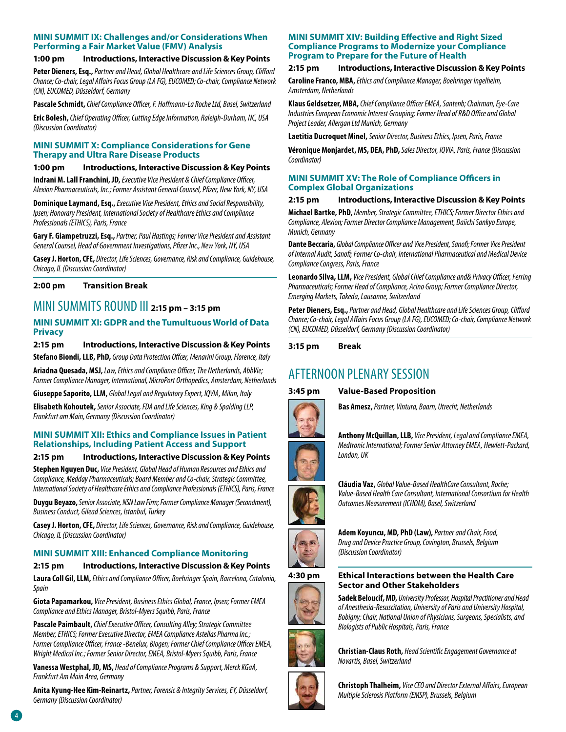### **MINI SUMMIT IX: Challenges and/or Considerations When Performing a Fair Market Value (FMV) Analysis**

### **1:00 pm Introductions, Interactive Discussion & Key Points**

**Peter Dieners, Esq.,** *Partner and Head, Global Healthcare and Life Sciences Group, Clifford Chance; Co-chair, Legal Affairs Focus Group (LA FG), EUCOMED; Co-chair, Compliance Network (CN), EUCOMED, Düsseldorf, Germany*

**Pascale Schmidt,** *Chief Compliance Officer, F. Hoffmann-La Roche Ltd, Basel, Switzerland*

**Eric Bolesh,** *Chief Operating Officer, Cutting Edge Information, Raleigh-Durham, NC, USA (Discussion Coordinator)*

### **MINI SUMMIT X: Compliance Considerations for Gene Therapy and Ultra Rare Disease Products**

### **1:00 pm Introductions, Interactive Discussion & Key Points**

**Indrani M. Lall Franchini, JD,** *Executive Vice President & Chief Compliance Officer, Alexion Pharmaceuticals, Inc.; Former Assistant General Counsel, Pfizer, New York, NY, USA* 

**Dominique Laymand, Esq.,** *Executive Vice President, Ethics and Social Responsibility, Ipsen; Honorary President, International Society of Healthcare Ethics and Compliance Professionals (ETHICS), Paris, France*

**Gary F. Giampetruzzi, Esq.,** *Partner, Paul Hastings; Former Vice President and Assistant General Counsel, Head of Government Investigations, Pfizer Inc., New York, NY, USA*

**Casey J. Horton, CFE,** *Director, Life Sciences, Governance, Risk and Compliance, Guidehouse, Chicago, IL (Discussion Coordinator)*

### **2:00 pm Transition Break**

## MINI SUMMITS ROUND III **2:15 pm – 3:15 pm**

### **MINI SUMMIT XI: GDPR and the Tumultuous World of Data Privacy**

### **2:15 pm Introductions, Interactive Discussion & Key Points**

**Stefano Biondi, LLB, PhD,** *Group Data Protection Offcer, Menarini Group, Florence, Italy* 

**Ariadna Quesada, MSJ,** *Law, Ethics and Compliance Officer, The Netherlands, AbbVie; Former Compliance Manager, International, MicroPort Orthopedics, Amsterdam, Netherlands*

**Giuseppe Saporito, LLM,** *Global Legal and Regulatory Expert, IQVIA, Milan, Italy*

**Elisabeth Kohoutek,** *Senior Associate, FDA and Life Sciences, King & Spalding LLP, Frankfurt am Main, Germany (Discussion Coordinator)*

### **MINI SUMMIT XII: Ethics and Compliance Issues in Patient Relationships, Including Patient Access and Support**

### **2:15 pm Introductions, Interactive Discussion & Key Points**

**Stephen Nguyen Duc,** *Vice President, Global Head of Human Resources and Ethics and Compliance, Medday Pharmaceuticals; Board Member and Co-chair, Strategic Committee, International Society of Healthcare Ethics and Compliance Professionals (ETHICS), Paris, France*

**Duygu Beyazo,** *Senior Associate, NSN Law Firm; Former Compliance Manager (Secondment), Business Conduct, Gilead Sciences, Istanbul, Turkey* 

**Casey J. Horton, CFE,** *Director, Life Sciences, Governance, Risk and Compliance, Guidehouse, Chicago, IL (Discussion Coordinator)*

### **MINI SUMMIT XIII: Enhanced Compliance Monitoring**

### **2:15 pm Introductions, Interactive Discussion & Key Points**

**Laura Coll Gil, LLM,** *Ethics and Compliance Officer, Boehringer Spain, Barcelona, Catalonia, Spain*

**Giota Papamarkou,** *Vice President, Business Ethics Global, France, Ipsen; Former EMEA Compliance and Ethics Manager, Bristol-Myers Squibb, Paris, France*

**Pascale Paimbault,** *Chief Executive Officer, Consulting Alley; Strategic Committee Member, ETHICS; Former Executive Director, EMEA Compliance Astellas Pharma Inc.; Former Compliance Officer, France -Benelux, Biogen; Former Chief Compliance Officer EMEA, Wright Medical Inc.; Former Senior Director, EMEA, Bristol-Myers Squibb, Paris, France* 

**Vanessa Westphal, JD, MS,** *Head of Compliance Programs & Support, Merck KGaA, Frankfurt Am Main Area, Germany* 

**Anita Kyung-Hee Kim-Reinartz,** *Partner, Forensic & Integrity Services, EY, Düsseldorf, Germany (Discussion Coordinator)*

### **MINI SUMMIT XIV: Building Effective and Right Sized Compliance Programs to Modernize your Compliance Program to Prepare for the Future of Health**

### **2:15 pm Introductions, Interactive Discussion & Key Points**

**Caroline Franco, MBA,** *Ethics and Compliance Manager, Boehringer Ingelheim, Amsterdam, Netherlands* 

**Klaus Geldsetzer, MBA,** *Chief Compliance Officer EMEA, Santenb; Chairman, Eye-Care Industries European Economic Interest Grouping; Former Head of R&D Office and Global Project Leader, Allergan Ltd Munich, Germany* 

**Laetitia Ducroquet Minel,** *Senior Director, Business Ethics, Ipsen, Paris, France* 

**Véronique Monjardet, MS, DEA, PhD,** *Sales Director, IQVIA, Paris, France (Discussion Coordinator)*

### **MINI SUMMIT XV: The Role of Compliance Officers in Complex Global Organizations**

### **2:15 pm Introductions, Interactive Discussion & Key Points**

**Michael Bartke, PhD,** *Member, Strategic Committee, ETHICS; Former Director Ethics and Compliance, Alexion; Former Director Compliance Management, Daiichi Sankyo Europe, Munich, Germany*

**Dante Beccaria,** *Global Compliance Officer and Vice President, Sanofi; Former Vice President of Internal Audit, Sanofi; Former Co-chair, International Pharmaceutical and Medical Device Compliance Congress, Paris, France*

**Leonardo Silva, LLM,** *Vice President, Global Chief Compliance and& Privacy Officer, Ferring Pharmaceuticals; Former Head of Compliance, Acino Group; Former Compliance Director, Emerging Markets, Takeda, Lausanne, Switzerland* 

**Peter Dieners, Esq.,** *Partner and Head, Global Healthcare and Life Sciences Group, Clifford Chance; Co-chair, Legal Affairs Focus Group (LA FG), EUCOMED; Co-chair, Compliance Network (CN), EUCOMED, Düsseldorf, Germany (Discussion Coordinator)*

**3:15 pm Break**

# AFTERNOON PLENARY SESSION

### **3:45 pm Value-Based Proposition**



**Bas Amesz,** *Partner, Vintura, Baarn, Utrecht, Netherlands*



**Anthony McQuillan, LLB,** *Vice President, Legal and Compliance EMEA, Medtronic International; Former Senior Attorney EMEA, Hewlett-Packard, London, UK*



**Cláudia Vaz,** *Global Value-Based HealthCare Consultant, Roche; Value-Based Health Care Consultant, International Consortium for Health Outcomes Measurement (ICHOM), Basel, Switzerland*



**Adem Koyuncu, MD, PhD (Law),** *Partner and Chair, Food, Drug and Device Practice Group, Covington, Brussels, Belgium (Discussion Coordinator)*

### **4:30 pm Ethical Interactions between the Health Care Sector and Other Stakeholders**

**Sadek Beloucif, MD,** *University Professor, Hospital Practitioner and Head of Anesthesia-Resuscitation, University of Paris and University Hospital, Bobigny; Chair, National Union of Physicians, Surgeons, Specialists, and Biologists of Public Hospitals, Paris, France*



**Christian-Claus Roth,** *Head Scientific Engagement Governance at Novartis, Basel, Switzerland*



**Christoph Thalheim,** *Vice CEO and Director External Affairs, European Multiple Sclerosis Platform (EMSP), Brussels, Belgium*